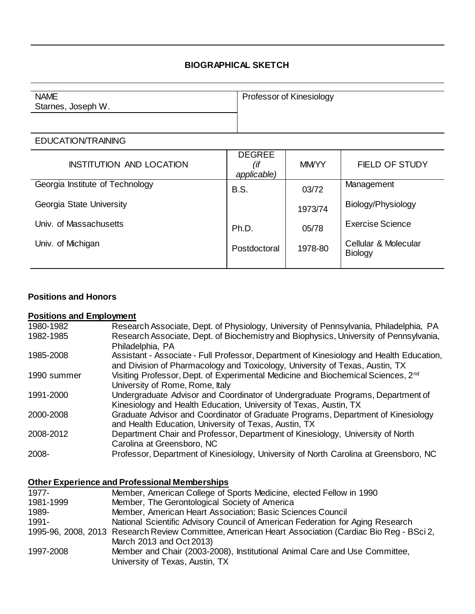## **BIOGRAPHICAL SKETCH**

| <b>NAME</b>        | Professor of Kinesiology |
|--------------------|--------------------------|
| Starnes, Joseph W. |                          |
|                    |                          |
|                    |                          |

#### EDUCATION/TRAINING

| <b>INSTITUTION AND LOCATION</b> | <b>DEGREE</b><br>(if<br>applicable) | <b>MMYYY</b> | <b>FIELD OF STUDY</b>                  |
|---------------------------------|-------------------------------------|--------------|----------------------------------------|
| Georgia Institute of Technology | <b>B.S.</b>                         | 03/72        | Management                             |
| Georgia State University        |                                     | 1973/74      | Biology/Physiology                     |
| Univ. of Massachusetts          | Ph.D.                               | 05/78        | <b>Exercise Science</b>                |
| Univ. of Michigan               | Postdoctoral                        | 1978-80      | Cellular & Molecular<br><b>Biology</b> |

### **Positions and Honors**

# **Positions and Employment**

| 1980-1982   | Research Associate, Dept. of Physiology, University of Pennsylvania, Philadelphia, PA                                                                                   |
|-------------|-------------------------------------------------------------------------------------------------------------------------------------------------------------------------|
| 1982-1985   | Research Associate, Dept. of Biochemistry and Biophysics, University of Pennsylvania,<br>Philadelphia, PA                                                               |
| 1985-2008   | Assistant - Associate - Full Professor, Department of Kinesiology and Health Education,<br>and Division of Pharmacology and Toxicology, University of Texas, Austin, TX |
| 1990 summer | Visiting Professor, Dept. of Experimental Medicine and Biochemical Sciences, 2 <sup>nd</sup><br>University of Rome, Rome, Italy                                         |
| 1991-2000   | Undergraduate Advisor and Coordinator of Undergraduate Programs, Department of<br>Kinesiology and Health Education, University of Texas, Austin, TX                     |
| 2000-2008   | Graduate Advisor and Coordinator of Graduate Programs, Department of Kinesiology<br>and Health Education, University of Texas, Austin, TX                               |
| 2008-2012   | Department Chair and Professor, Department of Kinesiology, University of North<br>Carolina at Greensboro, NC                                                            |
| 2008-       | Professor, Department of Kinesiology, University of North Carolina at Greensboro, NC                                                                                    |

# **Other Experience and Professional Memberships**

| 1977-     | Member, American College of Sports Medicine, elected Fellow in 1990                                  |
|-----------|------------------------------------------------------------------------------------------------------|
| 1981-1999 | Member, The Gerontological Society of America                                                        |
| 1989-     | Member, American Heart Association; Basic Sciences Council                                           |
| 1991-     | National Scientific Advisory Council of American Federation for Aging Research                       |
|           | 1995-96, 2008, 2013 Research Review Committee, American Heart Association (Cardiac Bio Reg - BSci 2, |
|           | March 2013 and Oct 2013)                                                                             |
| 1997-2008 | Member and Chair (2003-2008), Institutional Animal Care and Use Committee,                           |
|           | University of Texas, Austin, TX                                                                      |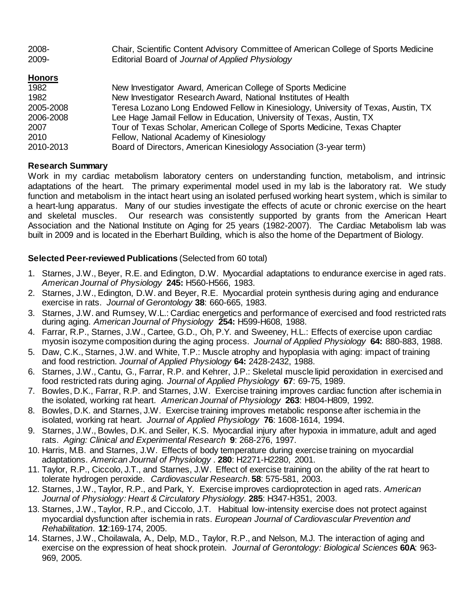| 2008- | Chair, Scientific Content Advisory Committee of American College of Sports Medicine |
|-------|-------------------------------------------------------------------------------------|
| 2009- | Editorial Board of Journal of Applied Physiology                                    |

### **Honors**

| 1982      | New Investigator Award, American College of Sports Medicine                       |
|-----------|-----------------------------------------------------------------------------------|
| 1982      | New Investigator Research Award, National Institutes of Health                    |
| 2005-2008 | Teresa Lozano Long Endowed Fellow in Kinesiology, University of Texas, Austin, TX |
| 2006-2008 | Lee Hage Jamail Fellow in Education, University of Texas, Austin, TX              |
| 2007      | Tour of Texas Scholar, American College of Sports Medicine, Texas Chapter         |
| 2010      | Fellow, National Academy of Kinesiology                                           |
| 2010-2013 | Board of Directors, American Kinesiology Association (3-year term)                |

### **Research Summary**

Work in my cardiac metabolism laboratory centers on understanding function, metabolism, and intrinsic adaptations of the heart. The primary experimental model used in my lab is the laboratory rat. We study function and metabolism in the intact heart using an isolated perfused working heart system, which is similar to a heart-lung apparatus. Many of our studies investigate the effects of acute or chronic exercise on the heart and skeletal muscles. Our research was consistently supported by grants from the American Heart Association and the National Institute on Aging for 25 years (1982-2007). The Cardiac Metabolism lab was built in 2009 and is located in the Eberhart Building, which is also the home of the Department of Biology.

### **Selected Peer-reviewed Publications** (Selected from 60 total)

- 1. Starnes, J.W., Beyer, R.E. and Edington, D.W. Myocardial adaptations to endurance exercise in aged rats. *American Journal of Physiology* **245:** H560-H566, 1983.
- 2. Starnes, J.W., Edington, D.W. and Beyer, R.E. Myocardial protein synthesis during aging and endurance exercise in rats. *Journal of Gerontology* **38**: 660-665, 1983.
- 3. Starnes, J.W. and Rumsey, W.L.: Cardiac energetics and performance of exercised and food restricted rats during aging. *American Journal of Physiology* **254:** H599-H608, 1988.
- 4. Farrar, R.P., Starnes, J.W., Cartee, G.D., Oh, P.Y. and Sweeney, H.L.: Effects of exercise upon cardiac myosin isozyme composition during the aging process. *Journal of Applied Physiology* **64:** 880-883, 1988.
- 5. Daw, C.K., Starnes, J.W. and White, T.P.: Muscle atrophy and hypoplasia with aging: impact of training and food restriction. *Journal of Applied Physiology* **64:** 2428-2432, 1988.
- 6. Starnes, J.W., Cantu, G., Farrar, R.P. and Kehrer, J.P.: Skeletal muscle lipid peroxidation in exercised and food restricted rats during aging. *Journal of Applied Physiology* **67**: 69-75, 1989.
- 7. Bowles, D.K., Farrar, R.P. and Starnes, J.W. Exercise training improves cardiac function after ischemia in the isolated, working rat heart. *American Journal of Physiology* **263**: H804-H809, 1992.
- 8. Bowles, D.K. and Starnes, J.W. Exercise training improves metabolic response after ischemia in the isolated, working rat heart. *Journal of Applied Physiology* **76**: 1608-1614, 1994.
- 9. Starnes, J.W., Bowles, D.K. and Seiler, K.S. Myocardial injury after hypoxia in immature, adult and aged rats. *Aging: Clinical and Experimental Research* **9**: 268-276, 1997.
- 10. Harris, M.B. and Starnes, J.W. Effects of body temperature during exercise training on myocardial adaptations. *American Journal of Physiology* . **280**: H2271-H2280, 2001.
- 11. Taylor, R.P., Ciccolo, J.T., and Starnes, J.W. Effect of exercise training on the ability of the rat heart to tolerate hydrogen peroxide. *Cardiovascular Research*. **58**: 575-581, 2003.
- 12. Starnes, J.W., Taylor, R.P., and Park, Y. Exercise improves cardioprotection in aged rats. *American Journal of Physiology: Heart & Circulatory Physiology.* **285**: H347-H351, 2003.
- 13. Starnes, J.W., Taylor, R.P., and Ciccolo, J.T. Habitual low-intensity exercise does not protect against myocardial dysfunction after ischemia in rats. *European Journal of Cardiovascular Prevention and Rehabilitation*. **12**:169-174, 2005.
- 14. Starnes, J.W., Choilawala, A., Delp, M.D., Taylor, R.P., and Nelson, M.J. The interaction of aging and exercise on the expression of heat shock protein. *Journal of Gerontology: Biological Sciences* **60A**: 963- 969, 2005.